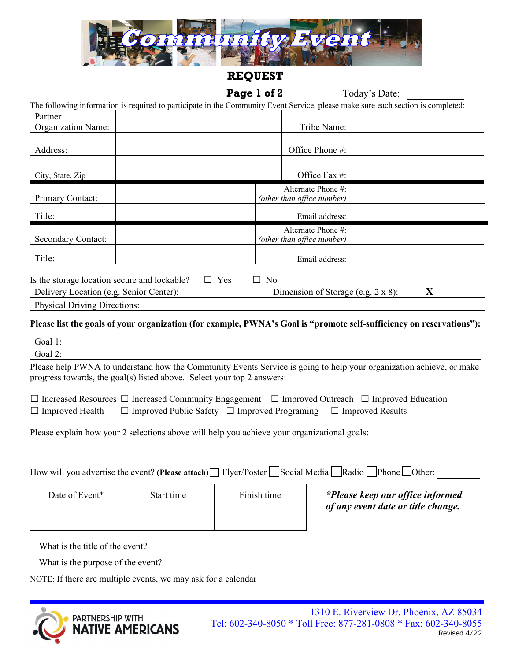

## **REQUEST**

# Page 1 of 2 Today's Date:

٦

| The following information is required to participate in the Community Event Service, please make sure each section is completed: |  |  |  |  |
|----------------------------------------------------------------------------------------------------------------------------------|--|--|--|--|
|                                                                                                                                  |  |  |  |  |

| Partner                                                                                 |                                                                                       |
|-----------------------------------------------------------------------------------------|---------------------------------------------------------------------------------------|
| <b>Organization Name:</b>                                                               | Tribe Name:                                                                           |
| Address:                                                                                | Office Phone #:                                                                       |
| City, State, Zip                                                                        | Office Fax #:                                                                         |
| Primary Contact:                                                                        | Alternate Phone #:<br>(other than office number)                                      |
| Title:                                                                                  | Email address:                                                                        |
| <b>Secondary Contact:</b>                                                               | Alternate Phone #:<br>(other than office number)                                      |
| Title:                                                                                  | Email address:                                                                        |
| Is the storage location secure and lockable?<br>Delivery Location (e.g. Senior Center): | Yes<br>N <sub>0</sub><br>$\perp$<br>$\Box$<br>X<br>Dimension of Storage (e.g. 2 x 8): |

| <b>Physical Driving Directions:</b> |
|-------------------------------------|
|-------------------------------------|

### **Please list the goals of your organization (for example, PWNA's Goal is "promote self-sufficiency on reservations"):**

| Goal 1:                                                                                                                                                                                                                              |
|--------------------------------------------------------------------------------------------------------------------------------------------------------------------------------------------------------------------------------------|
| Goal 2:                                                                                                                                                                                                                              |
| Please help PWNA to understand how the Community Events Service is going to help your organization achieve, or make<br>progress towards, the goal(s) listed above. Select your top 2 answers:                                        |
| $\Box$ Increased Resources $\Box$ Increased Community Engagement $\Box$ Improved Outreach $\Box$ Improved Education<br>$\Box$ Improved Public Safety $\Box$ Improved Programing<br>$\Box$ Improved Health<br>$\Box$ Improved Results |
| Please explain how your 2 selections above will help you achieve your organizational goals:                                                                                                                                          |
|                                                                                                                                                                                                                                      |
| How will you advertise the event? (Please attach) $\Box$ Flyer/Poster $\Box$ Social Media $\Box$ Radio $\Box$ Phone $\Box$ Other:                                                                                                    |

| Date of Event*                  | Start time |  | *Please keep our office informed<br>of any event date or title change. |
|---------------------------------|------------|--|------------------------------------------------------------------------|
|                                 |            |  |                                                                        |
| What is the title of the event? |            |  |                                                                        |

What is the title of the event?

What is the purpose of the event?

NOTE: If there are multiple events, we may ask for a calendar